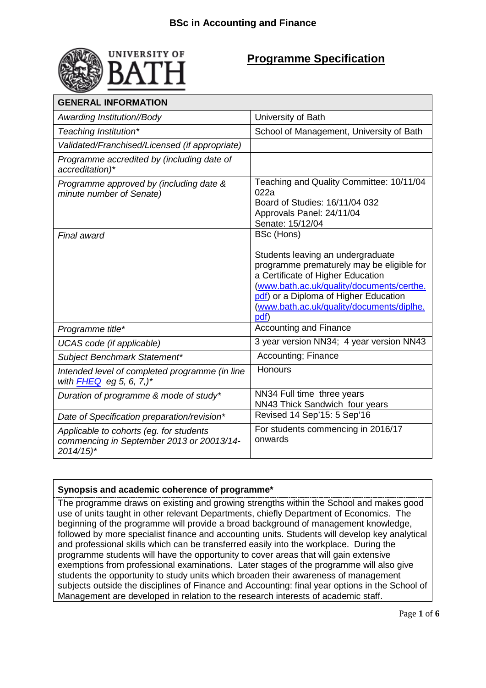

## **Programme Specification**

| <b>GENERAL INFORMATION</b>                                                                                     |                                                                                                                                                                                                                                                                                     |  |
|----------------------------------------------------------------------------------------------------------------|-------------------------------------------------------------------------------------------------------------------------------------------------------------------------------------------------------------------------------------------------------------------------------------|--|
| Awarding Institution//Body                                                                                     | University of Bath                                                                                                                                                                                                                                                                  |  |
| Teaching Institution*                                                                                          | School of Management, University of Bath                                                                                                                                                                                                                                            |  |
| Validated/Franchised/Licensed (if appropriate)                                                                 |                                                                                                                                                                                                                                                                                     |  |
| Programme accredited by (including date of<br>accreditation)*                                                  |                                                                                                                                                                                                                                                                                     |  |
| Programme approved by (including date &<br>minute number of Senate)                                            | Teaching and Quality Committee: 10/11/04<br>022a<br>Board of Studies: 16/11/04 032<br>Approvals Panel: 24/11/04<br>Senate: 15/12/04                                                                                                                                                 |  |
| Final award                                                                                                    | <b>BSc (Hons)</b><br>Students leaving an undergraduate<br>programme prematurely may be eligible for<br>a Certificate of Higher Education<br>(www.bath.ac.uk/quality/documents/certhe.<br>pdf) or a Diploma of Higher Education<br>(www.bath.ac.uk/quality/documents/diplhe.<br>pdf) |  |
| Programme title*                                                                                               | <b>Accounting and Finance</b>                                                                                                                                                                                                                                                       |  |
| UCAS code (if applicable)                                                                                      | 3 year version NN34; 4 year version NN43                                                                                                                                                                                                                                            |  |
| Subject Benchmark Statement*                                                                                   | Accounting; Finance                                                                                                                                                                                                                                                                 |  |
| Intended level of completed programme (in line<br>with $FHEQ$ eg 5, 6, 7,)*                                    | <b>Honours</b>                                                                                                                                                                                                                                                                      |  |
| Duration of programme & mode of study*                                                                         | NN34 Full time three years<br>NN43 Thick Sandwich four years                                                                                                                                                                                                                        |  |
| Date of Specification preparation/revision*                                                                    | Revised 14 Sep'15: 5 Sep'16                                                                                                                                                                                                                                                         |  |
| Applicable to cohorts (eg. for students<br>commencing in September 2013 or 20013/14-<br>$2014/15$ <sup>*</sup> | For students commencing in 2016/17<br>onwards                                                                                                                                                                                                                                       |  |

## **Synopsis and academic coherence of programme\***

The programme draws on existing and growing strengths within the School and makes good use of units taught in other relevant Departments, chiefly Department of Economics. The beginning of the programme will provide a broad background of management knowledge, followed by more specialist finance and accounting units. Students will develop key analytical and professional skills which can be transferred easily into the workplace. During the programme students will have the opportunity to cover areas that will gain extensive exemptions from professional examinations. Later stages of the programme will also give students the opportunity to study units which broaden their awareness of management subjects outside the disciplines of Finance and Accounting: final year options in the School of Management are developed in relation to the research interests of academic staff.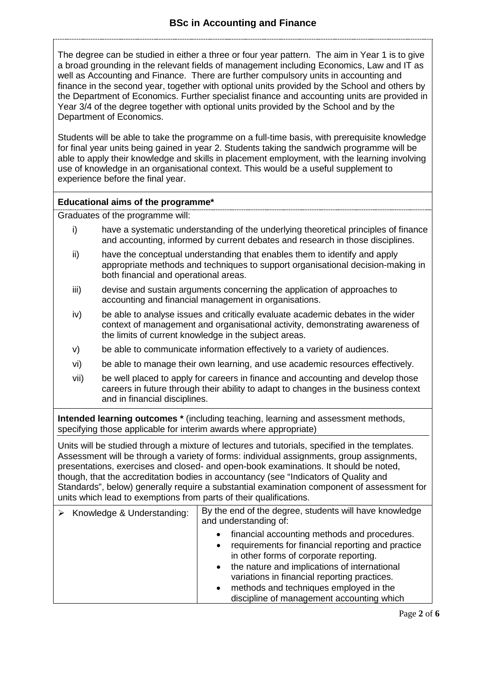The degree can be studied in either a three or four year pattern. The aim in Year 1 is to give a broad grounding in the relevant fields of management including Economics, Law and IT as well as Accounting and Finance. There are further compulsory units in accounting and finance in the second year, together with optional units provided by the School and others by the Department of Economics. Further specialist finance and accounting units are provided in Year 3/4 of the degree together with optional units provided by the School and by the Department of Economics.

Students will be able to take the programme on a full-time basis, with prerequisite knowledge for final year units being gained in year 2. Students taking the sandwich programme will be able to apply their knowledge and skills in placement employment, with the learning involving use of knowledge in an organisational context. This would be a useful supplement to experience before the final year.

#### **Educational aims of the programme\***

Graduates of the programme will:

- i) have a systematic understanding of the underlying theoretical principles of finance and accounting, informed by current debates and research in those disciplines.
- ii) have the conceptual understanding that enables them to identify and apply appropriate methods and techniques to support organisational decision-making in both financial and operational areas.
- iii) devise and sustain arguments concerning the application of approaches to accounting and financial management in organisations.
- iv) be able to analyse issues and critically evaluate academic debates in the wider context of management and organisational activity, demonstrating awareness of the limits of current knowledge in the subject areas.
- v) be able to communicate information effectively to a variety of audiences.
- vi) be able to manage their own learning, and use academic resources effectively.
- vii) be well placed to apply for careers in finance and accounting and develop those careers in future through their ability to adapt to changes in the business context and in financial disciplines.

**Intended learning outcomes \*** (including teaching, learning and assessment methods, specifying those applicable for interim awards where appropriate)

Units will be studied through a mixture of lectures and tutorials, specified in the templates. Assessment will be through a variety of forms: individual assignments, group assignments, presentations, exercises and closed- and open-book examinations. It should be noted, though, that the accreditation bodies in accountancy (see "Indicators of Quality and Standards", below) generally require a substantial examination component of assessment for units which lead to exemptions from parts of their qualifications.

| Knowledge & Understanding: | By the end of the degree, students will have knowledge<br>and understanding of:                                                                                                                                                                                                                                                                                                        |  |
|----------------------------|----------------------------------------------------------------------------------------------------------------------------------------------------------------------------------------------------------------------------------------------------------------------------------------------------------------------------------------------------------------------------------------|--|
|                            | financial accounting methods and procedures.<br>$\bullet$<br>requirements for financial reporting and practice<br>$\bullet$<br>in other forms of corporate reporting.<br>the nature and implications of international<br>$\bullet$<br>variations in financial reporting practices.<br>methods and techniques employed in the<br>$\bullet$<br>discipline of management accounting which |  |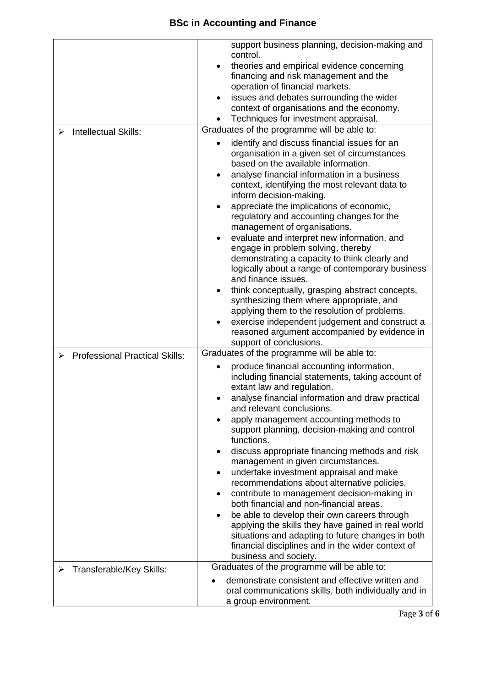# **BSc in Accounting and Finance**

|                                            | support business planning, decision-making and<br>control.<br>theories and empirical evidence concerning<br>financing and risk management and the<br>operation of financial markets.<br>issues and debates surrounding the wider<br>context of organisations and the economy.<br>Techniques for investment appraisal.                                                                                                                                                                                                                                                                                                                                                                                                                                                                                                                                                                 |
|--------------------------------------------|---------------------------------------------------------------------------------------------------------------------------------------------------------------------------------------------------------------------------------------------------------------------------------------------------------------------------------------------------------------------------------------------------------------------------------------------------------------------------------------------------------------------------------------------------------------------------------------------------------------------------------------------------------------------------------------------------------------------------------------------------------------------------------------------------------------------------------------------------------------------------------------|
| Intellectual Skills:<br>⋗                  | Graduates of the programme will be able to:                                                                                                                                                                                                                                                                                                                                                                                                                                                                                                                                                                                                                                                                                                                                                                                                                                           |
|                                            | identify and discuss financial issues for an<br>organisation in a given set of circumstances<br>based on the available information.<br>analyse financial information in a business<br>context, identifying the most relevant data to<br>inform decision-making.<br>appreciate the implications of economic,<br>regulatory and accounting changes for the<br>management of organisations.<br>evaluate and interpret new information, and<br>engage in problem solving, thereby<br>demonstrating a capacity to think clearly and<br>logically about a range of contemporary business<br>and finance issues.<br>think conceptually, grasping abstract concepts,<br>synthesizing them where appropriate, and<br>applying them to the resolution of problems.<br>exercise independent judgement and construct a<br>reasoned argument accompanied by evidence in<br>support of conclusions. |
| <b>Professional Practical Skills:</b><br>⋗ | Graduates of the programme will be able to:                                                                                                                                                                                                                                                                                                                                                                                                                                                                                                                                                                                                                                                                                                                                                                                                                                           |
|                                            | produce financial accounting information,<br>including financial statements, taking account of<br>extant law and regulation.<br>analyse financial information and draw practical<br>and relevant conclusions.<br>apply management accounting methods to<br>support planning, decision-making and control<br>functions.<br>discuss appropriate financing methods and risk<br>management in given circumstances.<br>undertake investment appraisal and make<br>recommendations about alternative policies.<br>contribute to management decision-making in<br>both financial and non-financial areas.<br>be able to develop their own careers through<br>$\bullet$<br>applying the skills they have gained in real world<br>situations and adapting to future changes in both<br>financial disciplines and in the wider context of<br>business and society.                              |
| Transferable/Key Skills:                   | Graduates of the programme will be able to:                                                                                                                                                                                                                                                                                                                                                                                                                                                                                                                                                                                                                                                                                                                                                                                                                                           |
|                                            | demonstrate consistent and effective written and<br>oral communications skills, both individually and in<br>a group environment.                                                                                                                                                                                                                                                                                                                                                                                                                                                                                                                                                                                                                                                                                                                                                      |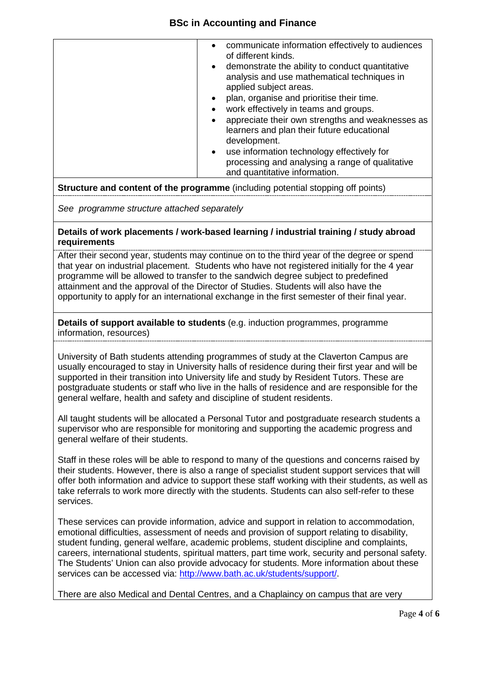## **BSc in Accounting and Finance**

**Structure and content of the programme** (including potential stopping off points)

*See programme structure attached separately* 

#### **Details of work placements / work-based learning / industrial training / study abroad requirements**

After their second year, students may continue on to the third year of the degree or spend that year on industrial placement. Students who have not registered initially for the 4 year programme will be allowed to transfer to the sandwich degree subject to predefined attainment and the approval of the Director of Studies. Students will also have the opportunity to apply for an international exchange in the first semester of their final year.

#### **Details of support available to students** (e.g. induction programmes, programme information, resources)

University of Bath students attending programmes of study at the Claverton Campus are usually encouraged to stay in University halls of residence during their first year and will be supported in their transition into University life and study by Resident Tutors. These are postgraduate students or staff who live in the halls of residence and are responsible for the general welfare, health and safety and discipline of student residents.

All taught students will be allocated a Personal Tutor and postgraduate research students a supervisor who are responsible for monitoring and supporting the academic progress and general welfare of their students.

Staff in these roles will be able to respond to many of the questions and concerns raised by their students. However, there is also a range of specialist student support services that will offer both information and advice to support these staff working with their students, as well as take referrals to work more directly with the students. Students can also self-refer to these services.

These services can provide information, advice and support in relation to accommodation, emotional difficulties, assessment of needs and provision of support relating to disability, student funding, general welfare, academic problems, student discipline and complaints, careers, international students, spiritual matters, part time work, security and personal safety. The Students' Union can also provide advocacy for students. More information about these services can be accessed via: [http://www.bath.ac.uk/students/support/.](http://www.bath.ac.uk/students/support/)

There are also Medical and Dental Centres, and a Chaplaincy on campus that are very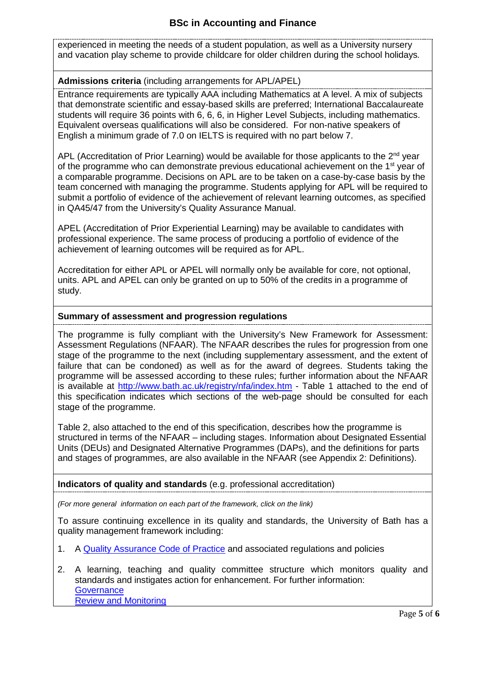## **BSc in Accounting and Finance**

experienced in meeting the needs of a student population, as well as a University nursery and vacation play scheme to provide childcare for older children during the school holidays*.*

### **Admissions criteria** (including arrangements for APL/APEL)

Entrance requirements are typically AAA including Mathematics at A level. A mix of subjects that demonstrate scientific and essay-based skills are preferred; International Baccalaureate students will require 36 points with 6, 6, 6, in Higher Level Subjects, including mathematics. Equivalent overseas qualifications will also be considered. For non-native speakers of English a minimum grade of 7.0 on IELTS is required with no part below 7.

APL (Accreditation of Prior Learning) would be available for those applicants to the  $2^{nd}$  year of the programme who can demonstrate previous educational achievement on the  $1<sup>st</sup>$  year of a comparable programme. Decisions on APL are to be taken on a case-by-case basis by the team concerned with managing the programme. Students applying for APL will be required to submit a portfolio of evidence of the achievement of relevant learning outcomes, as specified in QA45/47 from the University's Quality Assurance Manual.

APEL (Accreditation of Prior Experiential Learning) may be available to candidates with professional experience. The same process of producing a portfolio of evidence of the achievement of learning outcomes will be required as for APL.

Accreditation for either APL or APEL will normally only be available for core, not optional, units. APL and APEL can only be granted on up to 50% of the credits in a programme of study.

#### **Summary of assessment and progression regulations**

The programme is fully compliant with the University's New Framework for Assessment: Assessment Regulations (NFAAR). The NFAAR describes the rules for progression from one stage of the programme to the next (including supplementary assessment, and the extent of failure that can be condoned) as well as for the award of degrees. Students taking the programme will be assessed according to these rules; further information about the NFAAR is available at<http://www.bath.ac.uk/registry/nfa/index.htm> - Table 1 attached to the end of this specification indicates which sections of the web-page should be consulted for each stage of the programme.

Table 2, also attached to the end of this specification, describes how the programme is structured in terms of the NFAAR – including stages. Information about Designated Essential Units (DEUs) and Designated Alternative Programmes (DAPs), and the definitions for parts and stages of programmes, are also available in the NFAAR (see Appendix 2: Definitions).

#### **Indicators of quality and standards** (e.g. professional accreditation)

*(For more general information on each part of the framework, click on the link)*

To assure continuing excellence in its quality and standards, the University of Bath has a quality management framework including:

- 1. A [Quality Assurance Code of Practice](http://www.bath.ac.uk/quality/cop/statements.html) and associated regulations and policies
- 2. A learning, teaching and quality committee structure which monitors quality and standards and instigates action for enhancement. For further information: **[Governance](http://www.bath.ac.uk/quality/documents/QA3-PS-Guid-QS-Gov.docx)** [Review and Monitoring](http://www.bath.ac.uk/quality/documents/QA3-PS-Guid-QS-RevMon.docx)